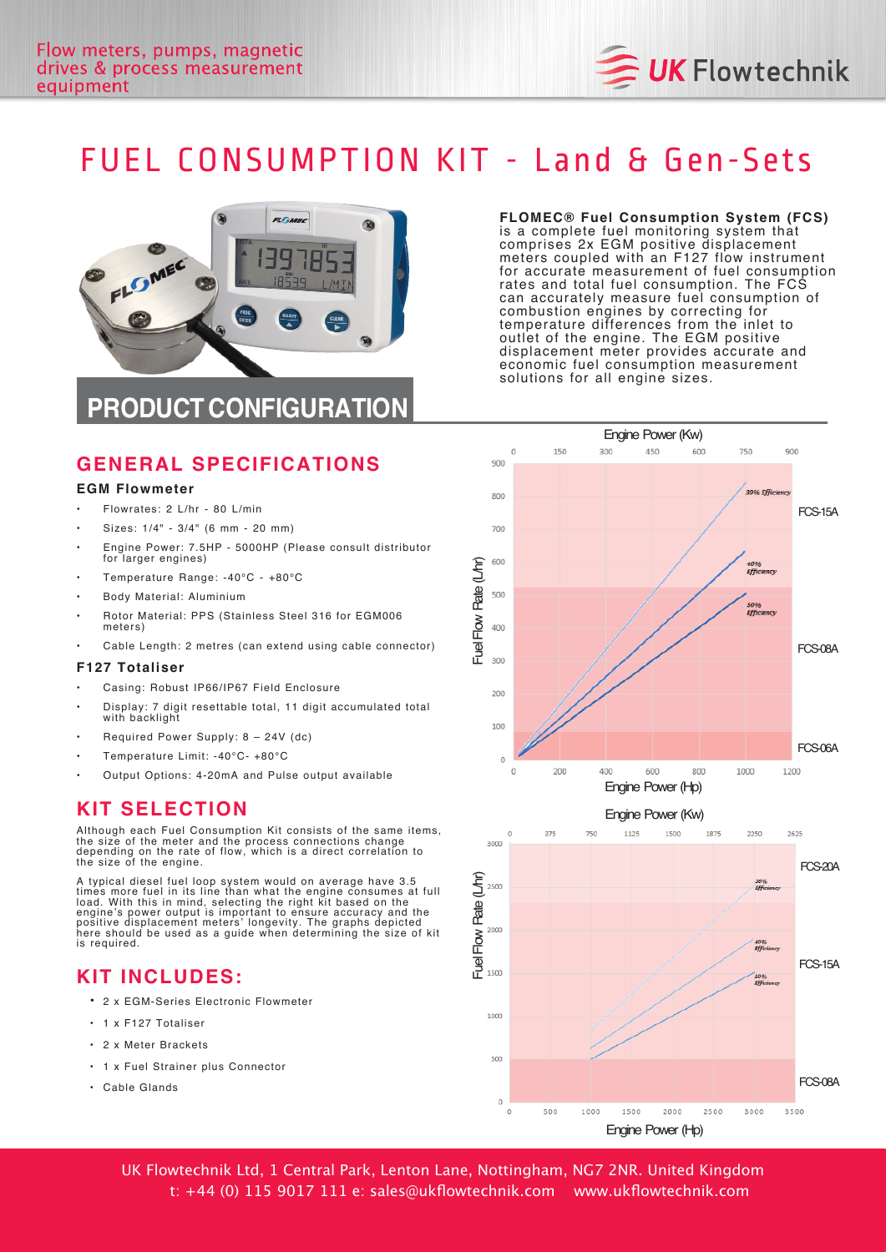

# FUEL CONSUMPTION KIT - Land & Gen-Sets



#### **FLOMEC® Fuel Consumption System (FCS)**

is a complete fuel monitoring system that comprises 2x EGM positive displacement meters coupled with an F127 flow instrument for accurate measurement of fuel consumption rates and total fuel consumption. The FCS can accurately measure fuel consumption of combustion engines by correcting for temperature differences from the inlet to outlet of the engine. The EGM positive displacement meter provides accurate and economic fuel consumption measurement solutions for all engine sizes.

## **GENERAL SPECIFICATIONS**

#### **EGM Flowmeter**

- Flowrates: 2 L/hr 80 L/min
- Sizes:  $1/4" 3/4"$  (6 mm 20 mm)
- Engine Power: 7.5HP 5000HP (Please consult distributor for larger engines)
- Temperature Range: -40°C +80°C
- Body Material: Aluminium
- Rotor Material: PPS (Stainless Steel 316 for EGM006 meters)
- Cable Length: 2 metres (can extend using cable connector)

#### **F127 Totaliser**

- Casing: Robust IP66/IP67 Field Enclosure
- Display: 7 digit resettable total, 11 digit accumulated total with backlight
- Required Power Supply:  $8 24V$  (dc)
- Temperature Limit: -40°C- +80°C
- Output Options: 4-20mA and Pulse output available

#### **KIT SELECTION**

Although each Fuel Consumption Kit consists of the same items, the size of the meter and the process connections change<br>depending on the rate of flow, which is a direct correlation to the size of the engine.

A typical diesel fuel loop system would on average have 3.5<br>times more fuel in its line than what the engine consumes at full<br>load. With this in mind, selecting the right kit based on the engine's power output is important to ensure accuracy and the<br>positive displacement meters' longevity. The graphs depicted<br>here should be used as a guide when determining the size of kit is required.

#### **KIT INCLUDES :**

- 2 x EGM-Series Electronic Flowmeter
- 1 x F127 Totaliser
- 2 x Meter Brackets
- 1 x Fuel Strainer plus Connector
- Cable Glands





UK Flowtechnik Ltd, 1 Central Park, Lenton Lane, Nottingham, NG7 2NR. United Kingdom t: +44 (0) 115 9017 111 e: sales@ukflowtechnik.com www.ukflowtechnik.com